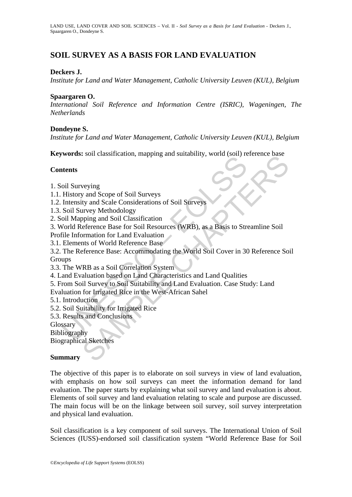# **SOIL SURVEY AS A BASIS FOR LAND EVALUATION**

### **Deckers J.**

*Institute for Land and Water Management, Catholic University Leuven (KUL), Belgium* 

#### **Spaargaren O.**

*International Soil Reference and Information Centre (ISRIC), Wageningen, The Netherlands* 

#### **Dondeyne S.**

*Institute for Land and Water Management, Catholic University Leuven (KUL), Belgium*

**Keywords:** soil classification, mapping and suitability, world (soil) reference base

#### **Contents**

- 1. Soil Surveying
- 1.1. History and Scope of Soil Surveys
- 1.2. Intensity and Scale Considerations of Soil Surveys
- 1.3. Soil Survey Methodology
- 2. Soil Mapping and Soil Classification
- 3. World Reference Base for Soil Resources (WRB), as a Basis to Streamline Soil
- Profile Information for Land Evaluation
- 3.1. Elements of World Reference Base

Morals, soli elassineation, impping and statashiry, word cool.<br>
Hentoy and Scope of Soil Surveys<br>
History and Scope of Soil Surveys<br>
Intensity and Scale Considerations of Soil Surveys<br>
Soil Survey Methodology<br>
oil Mapping Solid States and Scope of Soil Surveys<br>weying<br>wand Scope of Soil Surveys<br>weying and Scope of Soil Surveys<br>wey Mehodology<br>pipig and Soil Classification<br>of eference Base for Soil Resources (WRB), as a Basis to Streamline Soi 3.2. The Reference Base: Accommodating the World Soil Cover in 30 Reference Soil **Groups** 

- 3.3. The WRB as a Soil Correlation System
- 4. Land Evaluation based on Land Characteristics and Land Qualities
- 5. From Soil Survey to Soil Suitability and Land Evaluation. Case Study: Land
- Evaluation for Irrigated Rice in the West-African Sahel
- 5.1. Introduction
- 5.2. Soil Suitability for Irrigated Rice
- 5.3. Results and Conclusions

**Glossary** 

Bibliography

Biographical Sketches

#### **Summary**

The objective of this paper is to elaborate on soil surveys in view of land evaluation, with emphasis on how soil surveys can meet the information demand for land evaluation. The paper starts by explaining what soil survey and land evaluation is about. Elements of soil survey and land evaluation relating to scale and purpose are discussed. The main focus will be on the linkage between soil survey, soil survey interpretation and physical land evaluation.

Soil classification is a key component of soil surveys. The International Union of Soil Sciences (IUSS)-endorsed soil classification system "World Reference Base for Soil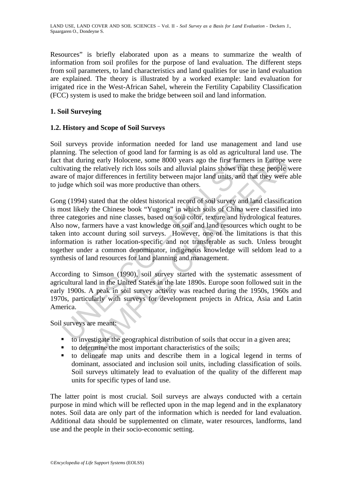Resources" is briefly elaborated upon as a means to summarize the wealth of information from soil profiles for the purpose of land evaluation. The different steps from soil parameters, to land characteristics and land qualities for use in land evaluation are explained. The theory is illustrated by a worked example: land evaluation for irrigated rice in the West-African Sahel, wherein the Fertility Capability Classification (FCC) system is used to make the bridge between soil and land information.

## **1. Soil Surveying**

## **1.2. History and Scope of Soil Surveys**

Soil surveys provide information needed for land use management and land use planning. The selection of good land for farming is as old as agricultural land use. The fact that during early Holocene, some 8000 years ago the first farmers in Europe were cultivating the relatively rich löss soils and alluvial plains shows that these people were aware of major differences in fertility between major land units, and that they were able to judge which soil was more productive than others.

that during early Holocene, some 8000 years ago the first farm<br>ivating the relatively rich löss soils and alluvial plains shows that<br>re of major differences in fertility between major land units, and l<br>dge which soil was m iring early Holocene, some 8000 years ago the first farmers in Europe view relatively rich löss soils and alluvial plains shows that these people the relatively rich löss soils and alluvial plains shows that these people v Gong (1994) stated that the oldest historical record of soil survey and land classification is most likely the Chinese book "Yugong" in which soils of China were classified into three categories and nine classes, based on soil color, texture and hydrological features. Also now, farmers have a vast knowledge on soil and land resources which ought to be taken into account during soil surveys. However, one of the limitations is that this information is rather location-specific and not transferable as such. Unless brought together under a common denominator, indigenous knowledge will seldom lead to a synthesis of land resources for land planning and management.

According to Simson (1990), soil survey started with the systematic assessment of agricultural land in the United States in the late 1890s. Europe soon followed suit in the early 1900s. A peak in soil survey activity was reached during the 1950s, 1960s and 1970s, particularly with surveys for development projects in Africa, Asia and Latin America.

Soil surveys are meant:

- to investigate the geographical distribution of soils that occur in a given area;
- to determine the most important characteristics of the soils;
- to delineate map units and describe them in a logical legend in terms of dominant, associated and inclusion soil units, including classification of soils. Soil surveys ultimately lead to evaluation of the quality of the different map units for specific types of land use.

The latter point is most crucial. Soil surveys are always conducted with a certain purpose in mind which will be reflected upon in the map legend and in the explanatory notes. Soil data are only part of the information which is needed for land evaluation. Additional data should be supplemented on climate, water resources, landforms, land use and the people in their socio-economic setting.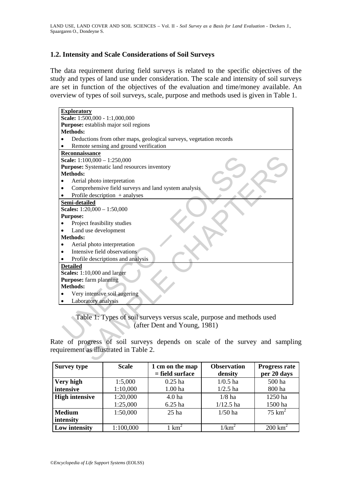### **1.2. Intensity and Scale Considerations of Soil Surveys**

The data requirement during field surveys is related to the specific objectives of the study and types of land use under consideration. The scale and intensity of soil surveys are set in function of the objectives of the evaluation and time/money available. An overview of types of soil surveys, scale, purpose and methods used is given in Table 1.

| <b>Exploratory</b>                                                              |  |  |  |  |
|---------------------------------------------------------------------------------|--|--|--|--|
| Scale: 1:500,000 - 1:1,000,000                                                  |  |  |  |  |
| Purpose: establish major soil regions                                           |  |  |  |  |
| <b>Methods:</b>                                                                 |  |  |  |  |
| Deductions from other maps, geological surveys, vegetation records<br>$\bullet$ |  |  |  |  |
| Remote sensing and ground verification                                          |  |  |  |  |
| Reconnaissance                                                                  |  |  |  |  |
| Scale: 1:100,000 - 1:250,000                                                    |  |  |  |  |
| Purpose: Systematic land resources inventory                                    |  |  |  |  |
| <b>Methods:</b>                                                                 |  |  |  |  |
| Aerial photo interpretation                                                     |  |  |  |  |
| Comprehensive field surveys and land system analysis                            |  |  |  |  |
| Profile description $+$ analyses                                                |  |  |  |  |
| Semi-detailed                                                                   |  |  |  |  |
| Scales: 1:20,000 - 1:50,000                                                     |  |  |  |  |
| <b>Purpose:</b>                                                                 |  |  |  |  |
| Project feasibility studies                                                     |  |  |  |  |
| Land use development                                                            |  |  |  |  |
| <b>Methods:</b>                                                                 |  |  |  |  |
| Aerial photo interpretation                                                     |  |  |  |  |
| Intensive field observations                                                    |  |  |  |  |
| Profile descriptions and analysis                                               |  |  |  |  |
| <b>Detailed</b>                                                                 |  |  |  |  |
| Scales: 1:10,000 and larger                                                     |  |  |  |  |
| Purpose: farm planning                                                          |  |  |  |  |
| Methods:                                                                        |  |  |  |  |
| Very intensive soil augering                                                    |  |  |  |  |
| Laboratory analysis                                                             |  |  |  |  |
|                                                                                 |  |  |  |  |
| Table 1: Types of soil surveys versus scale, purpose and methods used           |  |  |  |  |
| (after Dent and Young, 1981)                                                    |  |  |  |  |
|                                                                                 |  |  |  |  |
|                                                                                 |  |  |  |  |
| ate of progress of soil surveys depends on scale of the survey and sample       |  |  |  |  |
| quirement as illustrated in Table 2.                                            |  |  |  |  |
|                                                                                 |  |  |  |  |
|                                                                                 |  |  |  |  |

#### Table 1: Types of soil surveys versus scale, purpose and methods used (after Dent and Young, 1981)

Rate of progress of soil surveys depends on scale of the survey and sampling requirement as illustrated in Table 2.

| <b>Survey type</b>    | <b>Scale</b> | 1 cm on the map   | <b>Observation</b> | <b>Progress rate</b> |
|-----------------------|--------------|-------------------|--------------------|----------------------|
|                       |              | $=$ field surface | density            | per 20 days          |
| Very high             | 1:5,000      | $0.25$ ha         | $1/0.5$ ha         | 500 ha               |
| intensive             | 1:10,000     | 1.00 ha           | $1/2.5$ ha         | 800 ha               |
| <b>High intensive</b> | 1:20,000     | 4.0 <sub>ha</sub> | $1/8$ ha           | 1250 ha              |
|                       | 1:25,000     | 6.25 ha           | $1/12.5$ ha        | 1500 ha              |
| <b>Medium</b>         | 1:50,000     | $25$ ha           | $1/50$ ha          | $75 \text{ km}^2$    |
| intensity             |              |                   |                    |                      |
| Low intensity         | 1:100,000    | $km^2$            | $1/\mathrm{km}^2$  | $200 \text{ km}^2$   |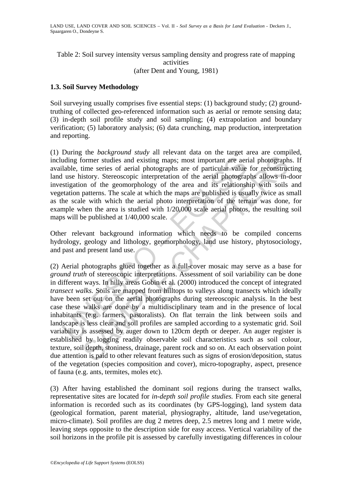Table 2: Soil survey intensity versus sampling density and progress rate of mapping activities (after Dent and Young, 1981)

### **1.3. Soil Survey Methodology**

Soil surveying usually comprises five essential steps: (1) background study; (2) groundtruthing of collected geo-referenced information such as aerial or remote sensing data; (3) in-depth soil profile study and soil sampling; (4) extrapolation and boundary verification; (5) laboratory analysis; (6) data crunching, map production, interpretation and reporting.

(1) During the *background study* all relevant data on the target area are compiled, including former studies and existing maps; most important are aerial photographs. If available, time series of aerial photographs are of particular value for reconstructing land use history. Stereoscopic interpretation of the aerial photographs allows in-door investigation of the geomorphology of the area and its relationship with soils and vegetation patterns. The scale at which the maps are published is usually twice as small as the scale with which the aerial photo interpretation of the terrain was done, for example when the area is studied with 1/20,000 scale aerial photos, the resulting soil maps will be published at 1/40,000 scale.

Other relevant background information which needs to be compiled concerns hydrology, geology and lithology, geomorphology, land use history, phytosociology, and past and present land use.

uding former studies and existing maps; most important are aer<br>lable, time series of aerial photographs are of particular value<br>luse history. Stereoscopic interpretation of the aerial photograp<br>stigation of the geomorpholo former studies and existing maps; most important are aerial photograph<br>time series of aerial photographs are of particular value for reconstruction<br>time series of aerial photographs are of particular value for reconstruct (2) Aerial photographs glued together as a full-cover mosaic may serve as a base for *ground truth* of stereoscopic interpretations. Assessment of soil variability can be done in different ways. In hilly areas Gobin et al. (2000) introduced the concept of integrated *transect walks.* Soils are mapped from hilltops to valleys along transects which ideally have been set out on the aerial photographs during stereoscopic analysis. In the best case these walks are done by a multidisciplinary team and in the presence of local inhabitants (e.g. farmers, pastoralists). On flat terrain the link between soils and landscape is less clear and soil profiles are sampled according to a systematic grid. Soil variability is assessed by auger down to 120cm depth or deeper. An auger register is established by logging readily observable soil characteristics such as soil colour, texture, soil depth, stoniness, drainage, parent rock and so on. At each observation point due attention is paid to other relevant features such as signs of erosion/deposition, status of the vegetation (species composition and cover), micro-topography, aspect, presence of fauna (e.g. ants, termites, moles etc).

(3) After having established the dominant soil regions during the transect walks, representative sites are located for *in-depth soil profile studies.* From each site general information is recorded such as its coordinates (by GPS-logging), land system data (geological formation, parent material, physiography, altitude, land use/vegetation, micro-climate). Soil profiles are dug 2 metres deep, 2.5 metres long and 1 metre wide, leaving steps opposite to the description side for easy access. Vertical variability of the soil horizons in the profile pit is assessed by carefully investigating differences in colour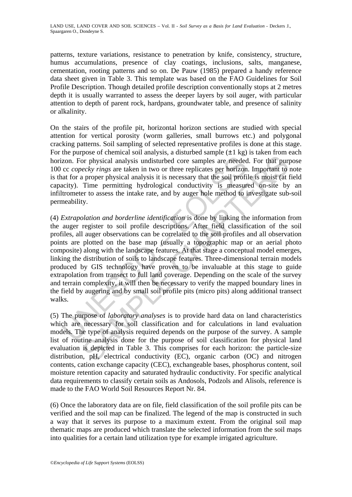patterns, texture variations, resistance to penetration by knife, consistency, structure, humus accumulations, presence of clay coatings, inclusions, salts, manganese, cementation, rooting patterns and so on. De Pauw (1985) prepared a handy reference data sheet given in Table 3. This template was based on the FAO Guidelines for Soil Profile Description. Though detailed profile description conventionally stops at 2 metres depth it is usually warranted to assess the deeper layers by soil auger, with particular attention to depth of parent rock, hardpans, groundwater table, and presence of salinity or alkalinity.

On the stairs of the profile pit, horizontal horizon sections are studied with special attention for vertical porosity (worm galleries, small burrows etc.) and polygonal cracking patterns. Soil sampling of selected representative profiles is done at this stage. For the purpose of chemical soil analysis, a disturbed sample  $(\pm 1 \text{ kg})$  is taken from each horizon. For physical analysis undisturbed core samples are needed. For that purpose 100 cc *copecky rings* are taken in two or three replicates per horizon. Important to note is that for a proper physical analysis it is necessary that the soil profile is moist (at field capacity). Time permitting hydrological conductivity is measured on-site by an infiltrometer to assess the intake rate, and by auger hole method to investigate sub-soil permeability.

zon. For physical analysis undisturbed core samples are needed<br>cc *copecky rings* are taken in two or three replicates per horizon<br>at for a proper physical analysis it is necessary that the soil profit<br>acity). Time permit For or physical analysis undisturbed core samples are needed. For that purecky rings are taken in two or three replicates per horizon. Important to proper physical analysis it is necessary that the soil profile is moist ( (4) *Extrapolation and borderline identification* is done by linking the information from the auger register to soil profile descriptions. After field classification of the soil profiles, all auger observations can be correlated to the soil profiles and all observation points are plotted on the base map (usually a topographic map or an aerial photo composite) along with the landscape features. At that stage a conceptual model emerges, linking the distribution of soils to landscape features. Three-dimensional terrain models produced by GIS technology have proven to be invaluable at this stage to guide extrapolation from transect to full land coverage. Depending on the scale of the survey and terrain complexity, it will then be necessary to verify the mapped boundary lines in the field by augering and by small soil profile pits (micro pits) along additional transect walks.

(5) The purpose of *laboratory analyses* is to provide hard data on land characteristics which are necessary for soil classification and for calculations in land evaluation models. The type of analysis required depends on the purpose of the survey. A sample list of routine analysis done for the purpose of soil classification for physical land evaluation is depicted in Table 3. This comprises for each horizon: the particle-size distribution, pH, electrical conductivity (EC), organic carbon (OC) and nitrogen contents, cation exchange capacity (CEC), exchangeable bases, phosphorus content, soil moisture retention capacity and saturated hydraulic conductivity. For specific analytical data requirements to classify certain soils as Andosols, Podzols and Alisols, reference is made to the FAO World Soil Resources Report Nr. 84.

(6) Once the laboratory data are on file, field classification of the soil profile pits can be verified and the soil map can be finalized. The legend of the map is constructed in such a way that it serves its purpose to a maximum extent. From the original soil map thematic maps are produced which translate the selected information from the soil maps into qualities for a certain land utilization type for example irrigated agriculture.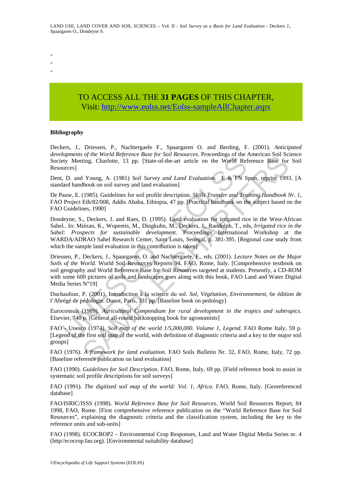- -

-

# TO ACCESS ALL THE **31 PAGES** OF THIS CHAPTER, Visit[: http://www.eolss.net/Eolss-sampleAllChapter.aspx](https://www.eolss.net/ebooklib/sc_cart.aspx?File=E1-05-02-01)

#### **Bibliography**

Deckers, J., Driessen, P., Nachtergaele F., Spaargaren O. and Berding, F. (2001). *Anticipated developments of the World Reference Base for Soil Resources*. Proceedings of the American Soil Science Society Meeting, Charlotte, 13 pp. [State-of-the-art article on the World Reference Base for Soil Resources]

Dent, D. and Young, A. (1981) *Soil Survey and Land Evaluation*. E & FN Spon, reprint 1993. [A standard handbook on soil survey and land evaluation]

De Pauw, E. (1985). Guidelines for soil profile description. *Skills Transfer and Training Handbook Nr. 1*, FAO Project Eth/82/008, Addis Ababa, Ethiopia, 47 pp. [Practical handbook on the subject based on the FAO Guidelines, 1990]

*lophens of the word regerent Buses for 500 finesbattes.* Tococcoungs or the World Reference Base for 500 finespacking, Charlotte, 13 pp. [State-of-the-art article on the World Refurces]<br>
1. D. and Young, A. (1981) *Soil* of the word Repertate Dates (pi Soli Resources. Finderal Repertation and Solid Repertation and Solid Reference Base for<br>ting, Charlotte, 13 pp. [State-of-the-art article on the World Reference Base for<br>1 Young, A. (1981) Dondeyne, S., Deckers, J. and Raes, D. (1995). Land evaluation for irrigated rice in the West-African Sahel*.*. In: Miézan, K., Wopereis, M., Dingkuhn, M., Deckers, J., Randolph, T., eds, *Irrigated rice in the Sahel: Prospects for sustainable development.* Proceedings International Workshop at the WARDA/ADRAO Sahel Research Center, Saint Louis, Senegal, p. 381-395. [Regional case study from which the sample land evaluation in this contribution is taken]

Driessen, P., Deckers, J., Spaargaren, O. and Nachtergaele, F., eds. (2001). *Lecture Notes on the Major Soils of the World.* World Soil Resources Reports 94, FAO, Rome, Italy. [Comprehensive textbook on soil geography and World Reference Base for Soil Resources targeted at students. Presently, a CD-ROM with some 600 pictures of soils and landscapes goes along with this book, FAO Land and Water Digital Media Series N°19]

Duchaufour, P. (2001). Introduction à la science du sol. *Sol, Végétation, Environnement*, 6e édition de l'Abrégé de pédologie. Dunot, Paris, 331 pp. [Baseline book on pedology]

Euroconsult (1989). *Agricultural Compendium for rural development in the tropics and subtropics.*  Elsevier, 740 p. [General all-round backstopping book for agronomists]

FAO - Unesco (1974). *Soil map of the world 1/5,000,000. Volume 1, Legend*. FAO Rome Italy, 59 p. [Legend of the first soil map of the world, with definition of diagnostic criteria and a key to the major soil groups]

FAO (1976). *A framework for land evaluation.* FAO Soils Bulletin Nr. 32, FAO, Rome, Italy, 72 pp. [Baseline reference publication on land evaluation]

FAO (1990). *Guidelines for Soil Description*. FAO, Rome, Italy, 69 pp. [Field reference book to assist in systematic soil profile descriptions for soil surveys]

FAO (1991). *The digitized soil map of the world: Vol. 1, Africa*. FAO, Rome, Italy. [Georeferenced database]

FAO/ISRIC/ISSS (1998). *World Reference Base for Soil Resources*. World Soil Resources Report, 84 1998, FAO, Rome. [First comprehensive reference publication on the "World Reference Base for Soil Resources", explaining the diagnostic criteria and the classification system, including the key to the reference units and sub-units]

FAO (1998). ECOCROP2 – Environmental Crop Responses, Land and Water Digital Media Series nr. 4 (http//ecocrop.fao.org). [Environmental suitability database]